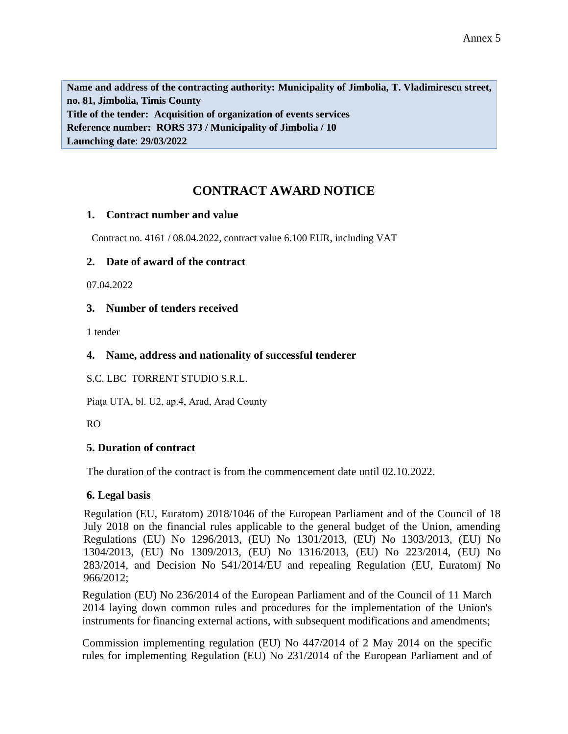**Name and address of the contracting authority: Municipality of Jimbolia, T. Vladimirescu street, no. 81, Jimbolia, Timis County Title of the tender: Acquisition of organization of events services Reference number: RORS 373 / Municipality of Jimbolia / 10 Launching date**: **29/03/2022**

# **CONTRACT AWARD NOTICE**

## **1. Contract number and value**

Contract no. 4161 / 08.04.2022, contract value 6.100 EUR, including VAT

## **2. Date of award of the contract**

07.04.2022

## **3. Number of tenders received**

1 tender

## **4. Name, address and nationality of successful tenderer**

S.C. LBC TORRENT STUDIO S.R.L.

Piața UTA, bl. U2, ap.4, Arad, Arad County

RO

#### **5. Duration of contract**

The duration of the contract is from the commencement date until 02.10.2022.

#### **6. Legal basis**

Regulation (EU, Euratom) 2018/1046 of the European Parliament and of the Council of 18 July 2018 on the financial rules applicable to the general budget of the Union, amending Regulations (EU) No 1296/2013, (EU) No 1301/2013, (EU) No 1303/2013, (EU) No 1304/2013, (EU) No 1309/2013, (EU) No 1316/2013, (EU) No 223/2014, (EU) No 283/2014, and Decision No 541/2014/EU and repealing Regulation (EU, Euratom) No 966/2012;

Regulation (EU) No 236/2014 of the European Parliament and of the Council of 11 March 2014 laying down common rules and procedures for the implementation of the Union's instruments for financing external actions, with subsequent modifications and amendments;

Commission implementing regulation (EU) No 447/2014 of 2 May 2014 on the specific rules for implementing Regulation (EU) No 231/2014 of the European Parliament and of